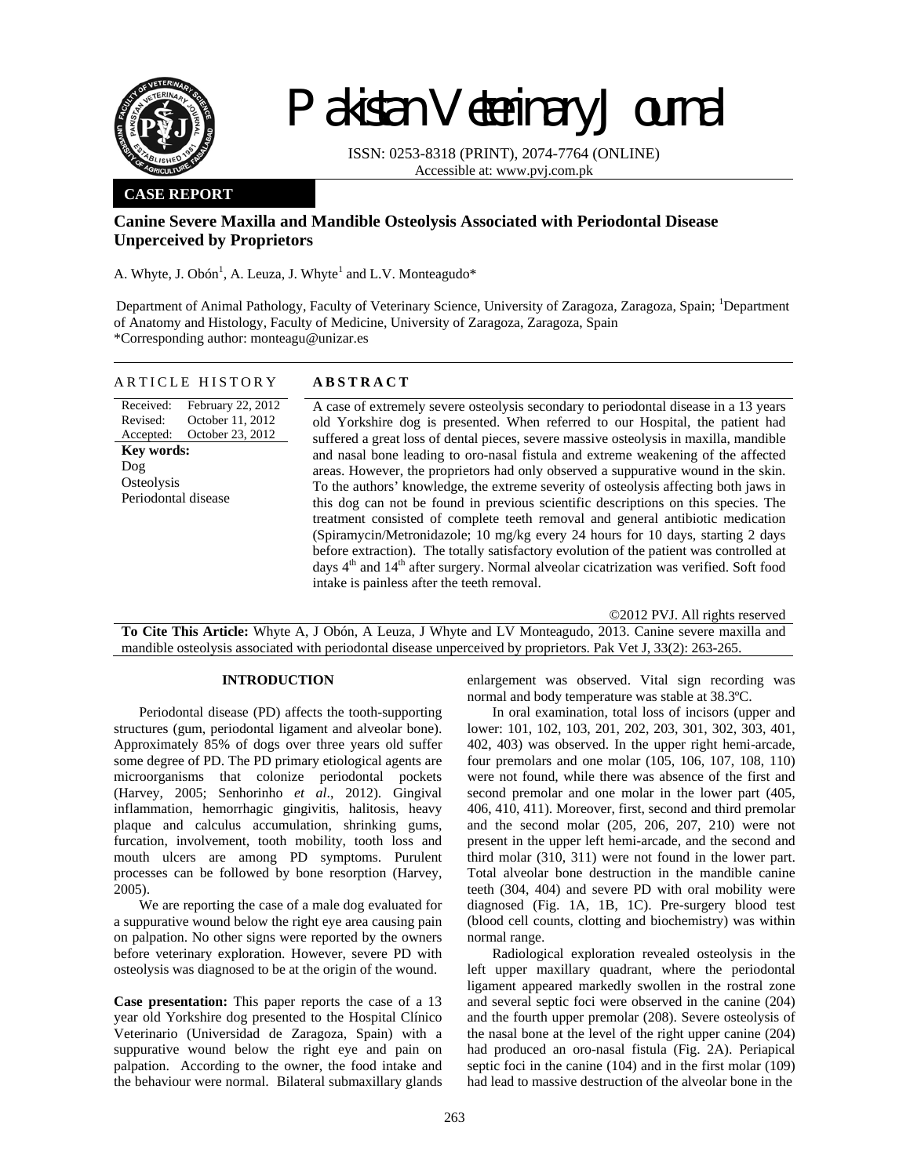

Received: Revised: Accepted:

**Key words:**  Dog **Osteolysis** 

Periodontal disease

# Pakistan Veterinary Journal

ISSN: 0253-8318 (PRINT), 2074-7764 (ONLINE) Accessible at: www.pvj.com.pk

## **CASE REPORT**

## **Canine Severe Maxilla and Mandible Osteolysis Associated with Periodontal Disease Unperceived by Proprietors**

A. Whyte, J. Obón<sup>1</sup>, A. Leuza, J. Whyte<sup>1</sup> and L.V. Monteagudo\*

Department of Animal Pathology, Faculty of Veterinary Science, University of Zaragoza, Zaragoza, Spain; <sup>1</sup>Department of Anatomy and Histology, Faculty of Medicine, University of Zaragoza, Zaragoza, Spain \*Corresponding author: monteagu@unizar.es

| ARTICLE HISTORY | <b>ABSTRACT</b> |
|-----------------|-----------------|
|                 |                 |

February 22, 2012 October 11, 2012 October 23, 2012 A case of extremely severe osteolysis secondary to periodontal disease in a 13 years old Yorkshire dog is presented. When referred to our Hospital, the patient had suffered a great loss of dental pieces, severe massive osteolysis in maxilla, mandible and nasal bone leading to oro-nasal fistula and extreme weakening of the affected areas. However, the proprietors had only observed a suppurative wound in the skin. To the authors' knowledge, the extreme severity of osteolysis affecting both jaws in this dog can not be found in previous scientific descriptions on this species. The treatment consisted of complete teeth removal and general antibiotic medication (Spiramycin/Metronidazole; 10 mg/kg every 24 hours for 10 days, starting 2 days before extraction). The totally satisfactory evolution of the patient was controlled at days 4<sup>th</sup> and 14<sup>th</sup> after surgery. Normal alveolar cicatrization was verified. Soft food intake is painless after the teeth removal.

©2012 PVJ. All rights reserved **To Cite This Article:** Whyte A, J Obón, A Leuza, J Whyte and LV Monteagudo, 2013. Canine severe maxilla and mandible osteolysis associated with periodontal disease unperceived by proprietors. Pak Vet J, 33(2): 263-265.

### **INTRODUCTION**

Periodontal disease (PD) affects the tooth-supporting structures (gum, periodontal ligament and alveolar bone). Approximately 85% of dogs over three years old suffer some degree of PD. The PD primary etiological agents are microorganisms that colonize periodontal pockets (Harvey, 2005; Senhorinho *et al*., 2012). Gingival inflammation, hemorrhagic gingivitis, halitosis, heavy plaque and calculus accumulation, shrinking gums, furcation, involvement, tooth mobility, tooth loss and mouth ulcers are among PD symptoms. Purulent processes can be followed by bone resorption (Harvey, 2005).

We are reporting the case of a male dog evaluated for a suppurative wound below the right eye area causing pain on palpation. No other signs were reported by the owners before veterinary exploration. However, severe PD with osteolysis was diagnosed to be at the origin of the wound.

**Case presentation:** This paper reports the case of a 13 year old Yorkshire dog presented to the Hospital Clínico Veterinario (Universidad de Zaragoza, Spain) with a suppurative wound below the right eye and pain on palpation. According to the owner, the food intake and the behaviour were normal. Bilateral submaxillary glands enlargement was observed. Vital sign recording was normal and body temperature was stable at 38.3ºC.

In oral examination, total loss of incisors (upper and lower: 101, 102, 103, 201, 202, 203, 301, 302, 303, 401, 402, 403) was observed. In the upper right hemi-arcade, four premolars and one molar (105, 106, 107, 108, 110) were not found, while there was absence of the first and second premolar and one molar in the lower part (405, 406, 410, 411). Moreover, first, second and third premolar and the second molar (205, 206, 207, 210) were not present in the upper left hemi-arcade, and the second and third molar (310, 311) were not found in the lower part. Total alveolar bone destruction in the mandible canine teeth (304, 404) and severe PD with oral mobility were diagnosed (Fig. 1A, 1B, 1C). Pre-surgery blood test (blood cell counts, clotting and biochemistry) was within normal range.

Radiological exploration revealed osteolysis in the left upper maxillary quadrant, where the periodontal ligament appeared markedly swollen in the rostral zone and several septic foci were observed in the canine (204) and the fourth upper premolar (208). Severe osteolysis of the nasal bone at the level of the right upper canine (204) had produced an oro-nasal fistula (Fig. 2A). Periapical septic foci in the canine (104) and in the first molar (109) had lead to massive destruction of the alveolar bone in the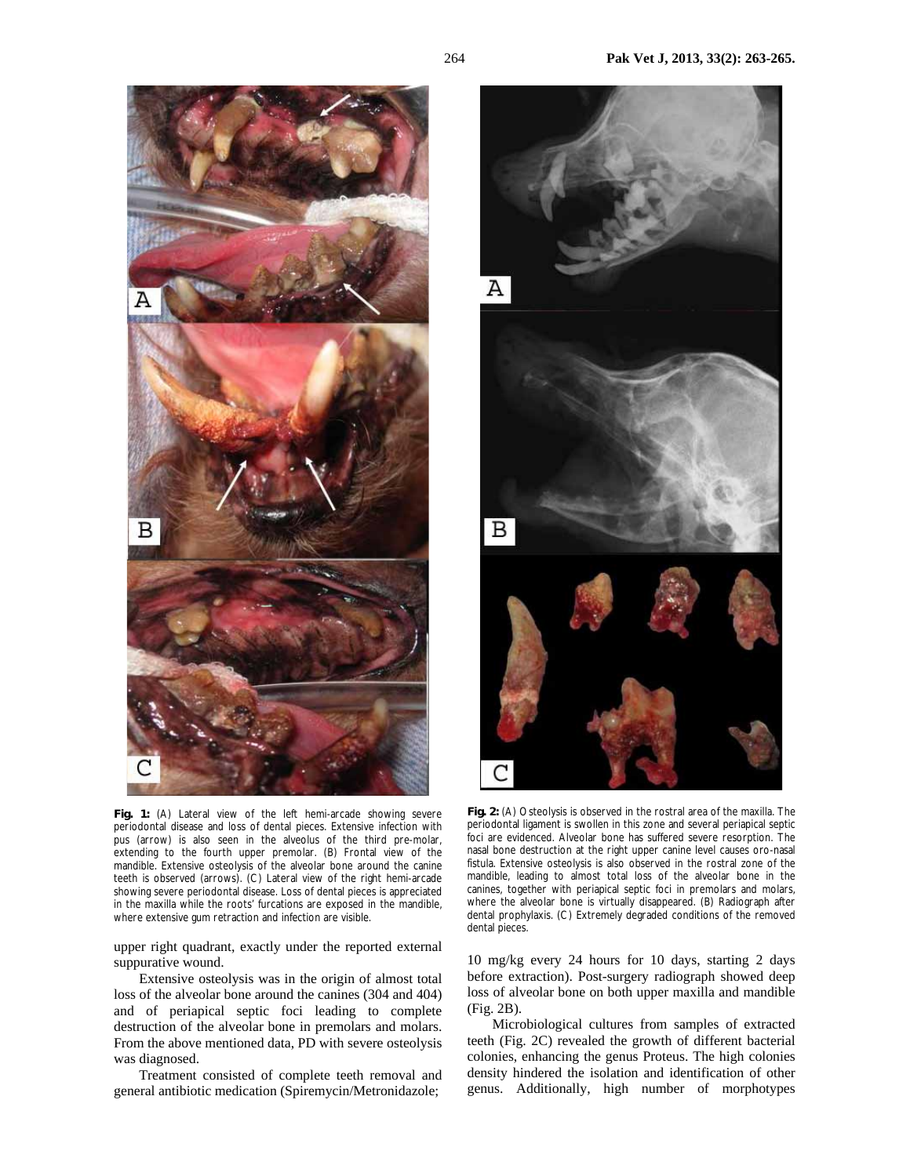

**Fig. 2:** (A) Osteolysis is observed in the rostral area of the maxilla. The periodontal ligament is swollen in this zone and several periapical septic foci are evidenced. Alveolar bone has suffered severe resorption. The nasal bone destruction at the right upper canine level causes oro-nasal fistula. Extensive osteolysis is also observed in the rostral zone of the mandible, leading to almost total loss of the alveolar bone in the canines, together with periapical septic foci in premolars and molars, where the alveolar bone is virtually disappeared. (B) Radiograph after dental prophylaxis. (C) Extremely degraded conditions of the removed dental pieces.

upper right quadrant, exactly under the reported external suppurative wound.

where extensive gum retraction and infection are visible.

periodontal disease and loss of dental pieces. Extensive infection with pus (arrow) is also seen in the alveolus of the third pre-molar, extending to the fourth upper premolar. (B) Frontal view of the mandible. Extensive osteolysis of the alveolar bone around the canine teeth is observed (arrows). (C) Lateral view of the right hemi-arcade showing severe periodontal disease. Loss of dental pieces is appreciated in the maxilla while the roots' furcations are exposed in the mandible,

Extensive osteolysis was in the origin of almost total loss of the alveolar bone around the canines (304 and 404) and of periapical septic foci leading to complete destruction of the alveolar bone in premolars and molars. From the above mentioned data, PD with severe osteolysis was diagnosed.

Treatment consisted of complete teeth removal and general antibiotic medication (Spiremycin/Metronidazole;

10 mg/kg every 24 hours for 10 days, starting 2 days before extraction). Post-surgery radiograph showed deep loss of alveolar bone on both upper maxilla and mandible (Fig. 2B).

Microbiological cultures from samples of extracted teeth (Fig. 2C) revealed the growth of different bacterial colonies, enhancing the genus Proteus. The high colonies density hindered the isolation and identification of other genus. Additionally, high number of morphotypes